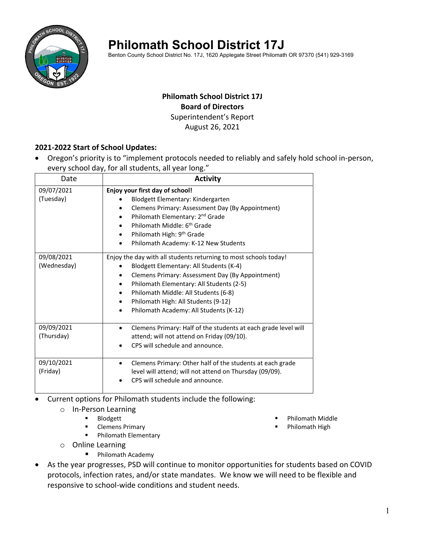

# **Philomath School District 17J**

Benton County School District No. 17J, 1620 Applegate Street Philomath OR 97370 (541) 929-3169

### **Philomath School District 17J Board of Directors** Superintendent's Report August 26, 2021

## **2021‐2022 Start of School Updates:**

 Oregon's priority is to "implement protocols needed to reliably and safely hold school in‐person, every school day, for all students, all year long."

| Date                      | <b>Activity</b>                                                                                                                                                                                                                                                                                                                                |
|---------------------------|------------------------------------------------------------------------------------------------------------------------------------------------------------------------------------------------------------------------------------------------------------------------------------------------------------------------------------------------|
| 09/07/2021<br>(Tuesday)   | Enjoy your first day of school!<br>Blodgett Elementary: Kindergarten<br>Clemens Primary: Assessment Day (By Appointment)<br>Philomath Elementary: 2 <sup>nd</sup> Grade<br>Philomath Middle: 6 <sup>th</sup> Grade<br>Philomath High: 9 <sup>th</sup> Grade<br>Philomath Academy: K-12 New Students                                            |
| 09/08/2021<br>(Wednesday) | Enjoy the day with all students returning to most schools today!<br>Blodgett Elementary: All Students (K-4)<br>Clemens Primary: Assessment Day (By Appointment)<br>Philomath Elementary: All Students (2-5)<br>٠<br>Philomath Middle: All Students (6-8)<br>Philomath High: All Students (9-12)<br>٠<br>Philomath Academy: All Students (K-12) |
| 09/09/2021<br>(Thursday)  | Clemens Primary: Half of the students at each grade level will<br>attend; will not attend on Friday (09/10).<br>CPS will schedule and announce.                                                                                                                                                                                                |
| 09/10/2021<br>(Friday)    | Clemens Primary: Other half of the students at each grade<br>level will attend; will not attend on Thursday (09/09).<br>CPS will schedule and announce.                                                                                                                                                                                        |

Current options for Philomath students include the following:

- o In‐Person Learning
	- **Blodgett**
	- **EXEC** Clemens Primary
	- Philomath Elementary
- o Online Learning
	- **Philomath Academy**
- Philomath Middle
- Philomath High
- As the year progresses, PSD will continue to monitor opportunities for students based on COVID protocols, infection rates, and/or state mandates. We know we will need to be flexible and responsive to school‐wide conditions and student needs.